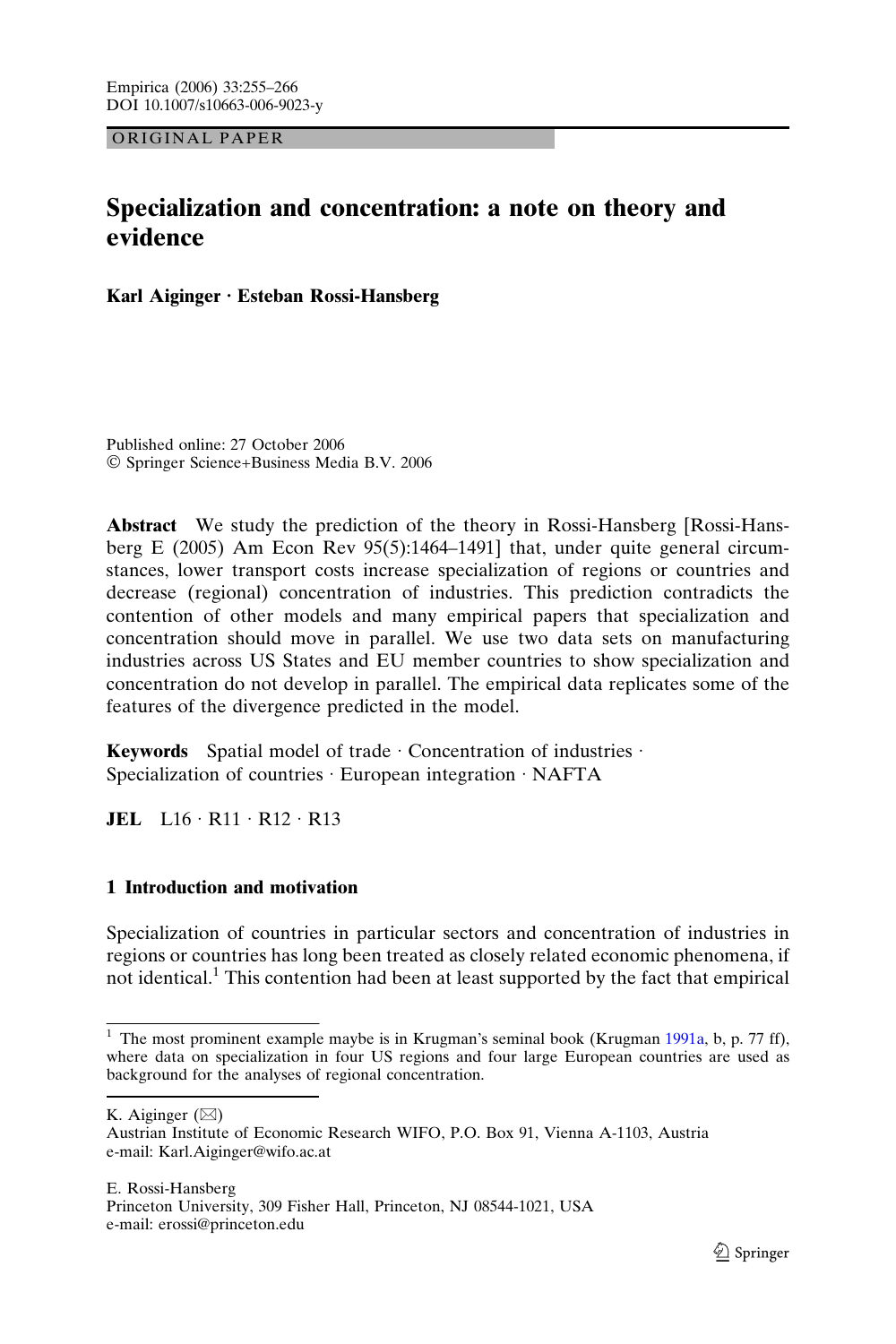ORIGINAL PAPER

# Specialization and concentration: a note on theory and evidence

Karl Aiginger · Esteban Rossi-Hansberg

Published online: 27 October 2006 Springer Science+Business Media B.V. 2006

Abstract We study the prediction of the theory in Rossi-Hansberg [Rossi-Hansberg E (2005) Am Econ Rev 95(5):1464–1491] that, under quite general circumstances, lower transport costs increase specialization of regions or countries and decrease (regional) concentration of industries. This prediction contradicts the contention of other models and many empirical papers that specialization and concentration should move in parallel. We use two data sets on manufacturing industries across US States and EU member countries to show specialization and concentration do not develop in parallel. The empirical data replicates some of the features of the divergence predicted in the model.

**Keywords** Spatial model of trade Concentration of industries Specialization of countries  $E$ uropean integration  $\cdot$  NAFTA

JEL  $L16 \cdot R11 \cdot R12 \cdot R13$ 

#### 1 Introduction and motivation

Specialization of countries in particular sectors and concentration of industries in regions or countries has long been treated as closely related economic phenomena, if not identical.<sup>1</sup> This contention had been at least supported by the fact that empirical

K. Aiginger  $(\boxtimes)$ 

<sup>&</sup>lt;sup>1</sup> The most prominent example maybe is in Krugman's seminal book (Krugman [1991a,](#page-11-0) b, p. 77 ff), where data on specialization in four US regions and four large European countries are used as background for the analyses of regional concentration.

Austrian Institute of Economic Research WIFO, P.O. Box 91, Vienna A-1103, Austria e-mail: Karl.Aiginger@wifo.ac.at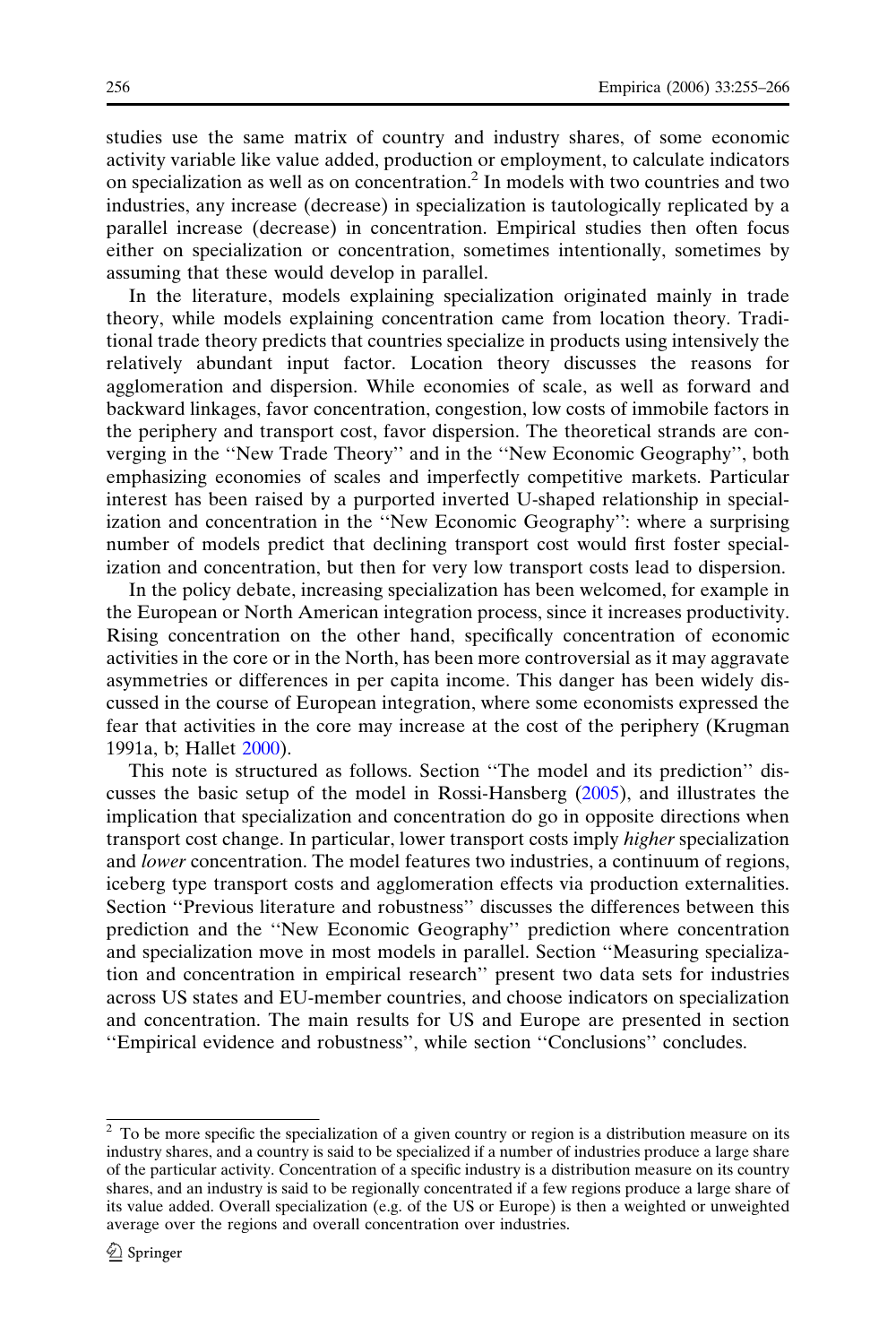studies use the same matrix of country and industry shares, of some economic activity variable like value added, production or employment, to calculate indicators on specialization as well as on concentration.<sup>2</sup> In models with two countries and two industries, any increase (decrease) in specialization is tautologically replicated by a parallel increase (decrease) in concentration. Empirical studies then often focus either on specialization or concentration, sometimes intentionally, sometimes by assuming that these would develop in parallel.

In the literature, models explaining specialization originated mainly in trade theory, while models explaining concentration came from location theory. Traditional trade theory predicts that countries specialize in products using intensively the relatively abundant input factor. Location theory discusses the reasons for agglomeration and dispersion. While economies of scale, as well as forward and backward linkages, favor concentration, congestion, low costs of immobile factors in the periphery and transport cost, favor dispersion. The theoretical strands are converging in the ''New Trade Theory'' and in the ''New Economic Geography'', both emphasizing economies of scales and imperfectly competitive markets. Particular interest has been raised by a purported inverted U-shaped relationship in specialization and concentration in the ''New Economic Geography'': where a surprising number of models predict that declining transport cost would first foster specialization and concentration, but then for very low transport costs lead to dispersion.

In the policy debate, increasing specialization has been welcomed, for example in the European or North American integration process, since it increases productivity. Rising concentration on the other hand, specifically concentration of economic activities in the core or in the North, has been more controversial as it may aggravate asymmetries or differences in per capita income. This danger has been widely discussed in the course of European integration, where some economists expressed the fear that activities in the core may increase at the cost of the periphery (Krugman [1991a](#page-11-0), b; Hallet [2000\)](#page-11-0).

This note is structured as follows. Section ''The model and its prediction'' discusses the basic setup of the model in Rossi-Hansberg ([2005\)](#page-11-0), and illustrates the implication that specialization and concentration do go in opposite directions when transport cost change. In particular, lower transport costs imply higher specialization and *lower* concentration. The model features two industries, a continuum of regions, iceberg type transport costs and agglomeration effects via production externalities. Section ''Previous literature and robustness'' discusses the differences between this prediction and the ''New Economic Geography'' prediction where concentration and specialization move in most models in parallel. Section ''Measuring specialization and concentration in empirical research'' present two data sets for industries across US states and EU-member countries, and choose indicators on specialization and concentration. The main results for US and Europe are presented in section ''Empirical evidence and robustness'', while section ''Conclusions'' concludes.

<sup>&</sup>lt;sup>2</sup> To be more specific the specialization of a given country or region is a distribution measure on its industry shares, and a country is said to be specialized if a number of industries produce a large share of the particular activity. Concentration of a specific industry is a distribution measure on its country shares, and an industry is said to be regionally concentrated if a few regions produce a large share of its value added. Overall specialization (e.g. of the US or Europe) is then a weighted or unweighted average over the regions and overall concentration over industries.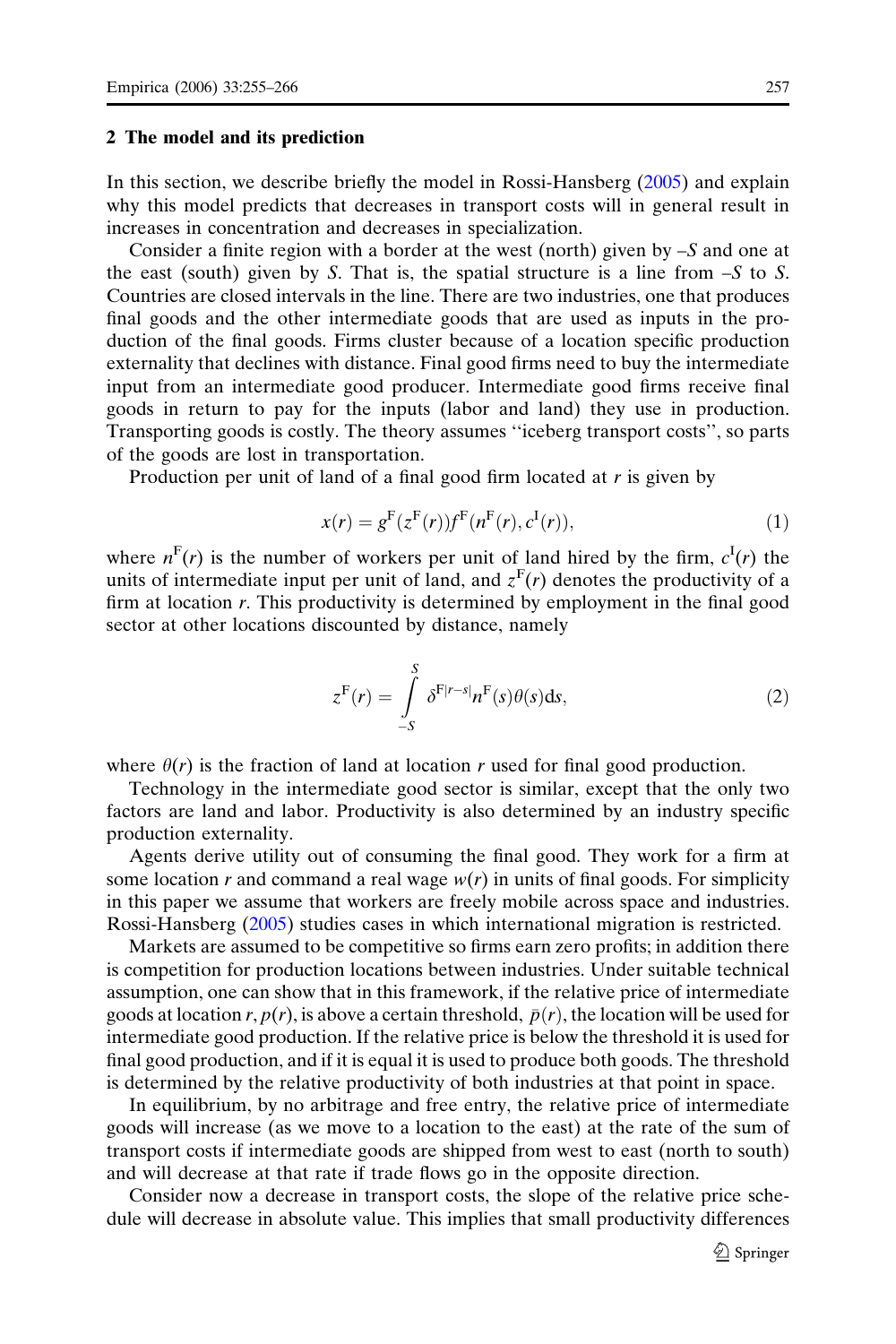#### 2 The model and its prediction

In this section, we describe briefly the model in Rossi-Hansberg [\(2005\)](#page-11-0) and explain why this model predicts that decreases in transport costs will in general result in increases in concentration and decreases in specialization.

Consider a finite region with a border at the west (north) given by  $-S$  and one at the east (south) given by S. That is, the spatial structure is a line from  $-S$  to S. Countries are closed intervals in the line. There are two industries, one that produces final goods and the other intermediate goods that are used as inputs in the production of the final goods. Firms cluster because of a location specific production externality that declines with distance. Final good firms need to buy the intermediate input from an intermediate good producer. Intermediate good firms receive final goods in return to pay for the inputs (labor and land) they use in production. Transporting goods is costly. The theory assumes ''iceberg transport costs'', so parts of the goods are lost in transportation.

Production per unit of land of a final good firm located at  $r$  is given by

$$
x(r) = g^{F}(z^{F}(r))f^{F}(n^{F}(r), c^{I}(r)),
$$
\n(1)

where  $n<sup>F</sup>(r)$  is the number of workers per unit of land hired by the firm,  $c<sup>I</sup>(r)$  the units of intermediate input per unit of land, and  $z^F(r)$  denotes the productivity of a firm at location r. This productivity is determined by employment in the final good sector at other locations discounted by distance, namely

$$
z^{\mathcal{F}}(r) = \int\limits_{-S}^{S} \delta^{\mathcal{F}|r-s|} n^{\mathcal{F}}(s) \theta(s) \mathrm{d}s,\tag{2}
$$

where  $\theta(r)$  is the fraction of land at location r used for final good production.

Technology in the intermediate good sector is similar, except that the only two factors are land and labor. Productivity is also determined by an industry specific production externality.

Agents derive utility out of consuming the final good. They work for a firm at some location r and command a real wage  $w(r)$  in units of final goods. For simplicity in this paper we assume that workers are freely mobile across space and industries. Rossi-Hansberg [\(2005](#page-11-0)) studies cases in which international migration is restricted.

Markets are assumed to be competitive so firms earn zero profits; in addition there is competition for production locations between industries. Under suitable technical assumption, one can show that in this framework, if the relative price of intermediate goods at location r,  $p(r)$ , is above a certain threshold,  $\bar{p}(r)$ , the location will be used for intermediate good production. If the relative price is below the threshold it is used for final good production, and if it is equal it is used to produce both goods. The threshold is determined by the relative productivity of both industries at that point in space.

In equilibrium, by no arbitrage and free entry, the relative price of intermediate goods will increase (as we move to a location to the east) at the rate of the sum of transport costs if intermediate goods are shipped from west to east (north to south) and will decrease at that rate if trade flows go in the opposite direction.

Consider now a decrease in transport costs, the slope of the relative price schedule will decrease in absolute value. This implies that small productivity differences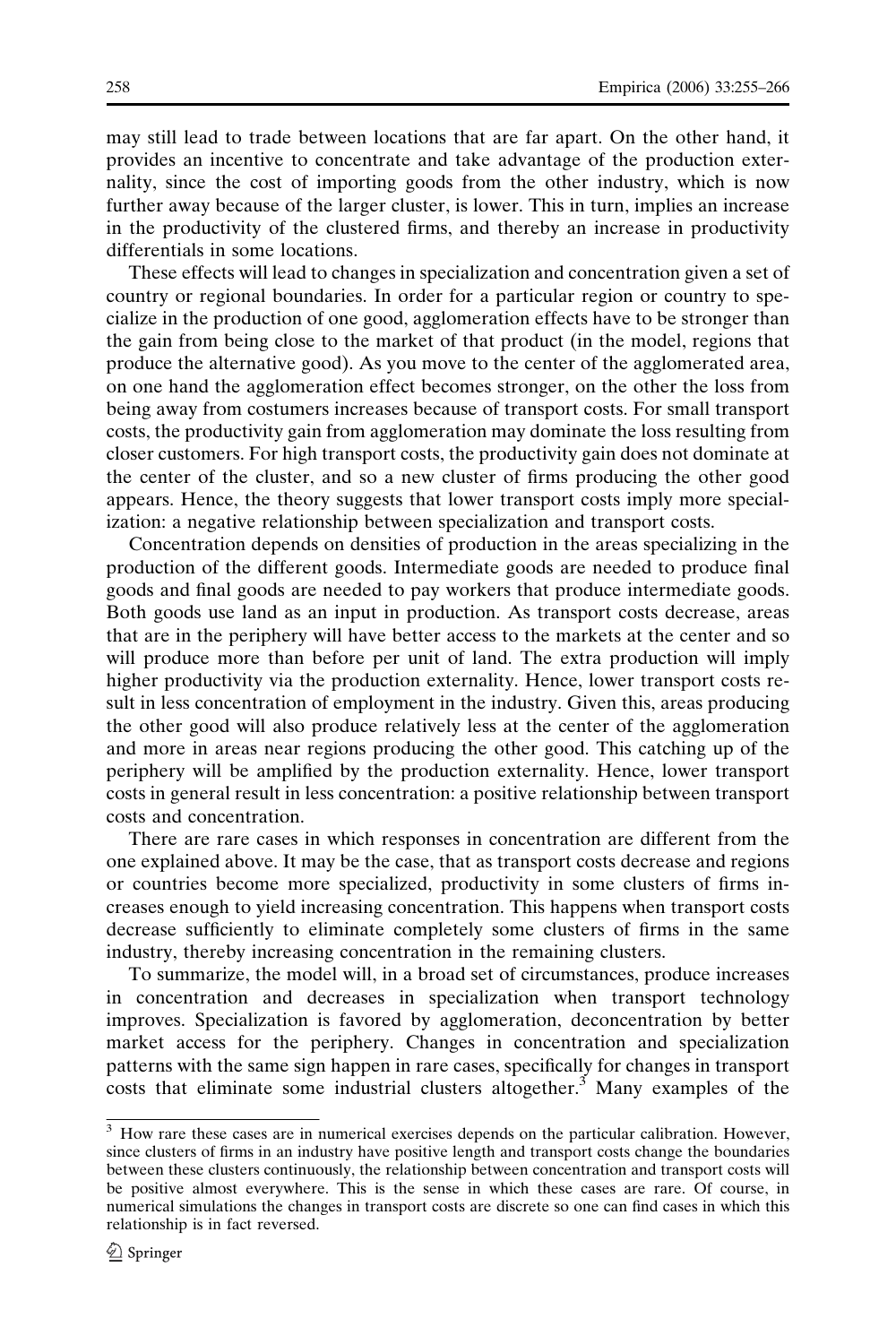may still lead to trade between locations that are far apart. On the other hand, it provides an incentive to concentrate and take advantage of the production externality, since the cost of importing goods from the other industry, which is now further away because of the larger cluster, is lower. This in turn, implies an increase in the productivity of the clustered firms, and thereby an increase in productivity differentials in some locations.

These effects will lead to changes in specialization and concentration given a set of country or regional boundaries. In order for a particular region or country to specialize in the production of one good, agglomeration effects have to be stronger than the gain from being close to the market of that product (in the model, regions that produce the alternative good). As you move to the center of the agglomerated area, on one hand the agglomeration effect becomes stronger, on the other the loss from being away from costumers increases because of transport costs. For small transport costs, the productivity gain from agglomeration may dominate the loss resulting from closer customers. For high transport costs, the productivity gain does not dominate at the center of the cluster, and so a new cluster of firms producing the other good appears. Hence, the theory suggests that lower transport costs imply more specialization: a negative relationship between specialization and transport costs.

Concentration depends on densities of production in the areas specializing in the production of the different goods. Intermediate goods are needed to produce final goods and final goods are needed to pay workers that produce intermediate goods. Both goods use land as an input in production. As transport costs decrease, areas that are in the periphery will have better access to the markets at the center and so will produce more than before per unit of land. The extra production will imply higher productivity via the production externality. Hence, lower transport costs result in less concentration of employment in the industry. Given this, areas producing the other good will also produce relatively less at the center of the agglomeration and more in areas near regions producing the other good. This catching up of the periphery will be amplified by the production externality. Hence, lower transport costs in general result in less concentration: a positive relationship between transport costs and concentration.

There are rare cases in which responses in concentration are different from the one explained above. It may be the case, that as transport costs decrease and regions or countries become more specialized, productivity in some clusters of firms increases enough to yield increasing concentration. This happens when transport costs decrease sufficiently to eliminate completely some clusters of firms in the same industry, thereby increasing concentration in the remaining clusters.

To summarize, the model will, in a broad set of circumstances, produce increases in concentration and decreases in specialization when transport technology improves. Specialization is favored by agglomeration, deconcentration by better market access for the periphery. Changes in concentration and specialization patterns with the same sign happen in rare cases, specifically for changes in transport  $\frac{1}{\csc^3}$  costs that eliminate some industrial clusters altogether.<sup>3</sup> Many examples of the

<sup>&</sup>lt;sup>3</sup> How rare these cases are in numerical exercises depends on the particular calibration. However, since clusters of firms in an industry have positive length and transport costs change the boundaries between these clusters continuously, the relationship between concentration and transport costs will be positive almost everywhere. This is the sense in which these cases are rare. Of course, in numerical simulations the changes in transport costs are discrete so one can find cases in which this relationship is in fact reversed.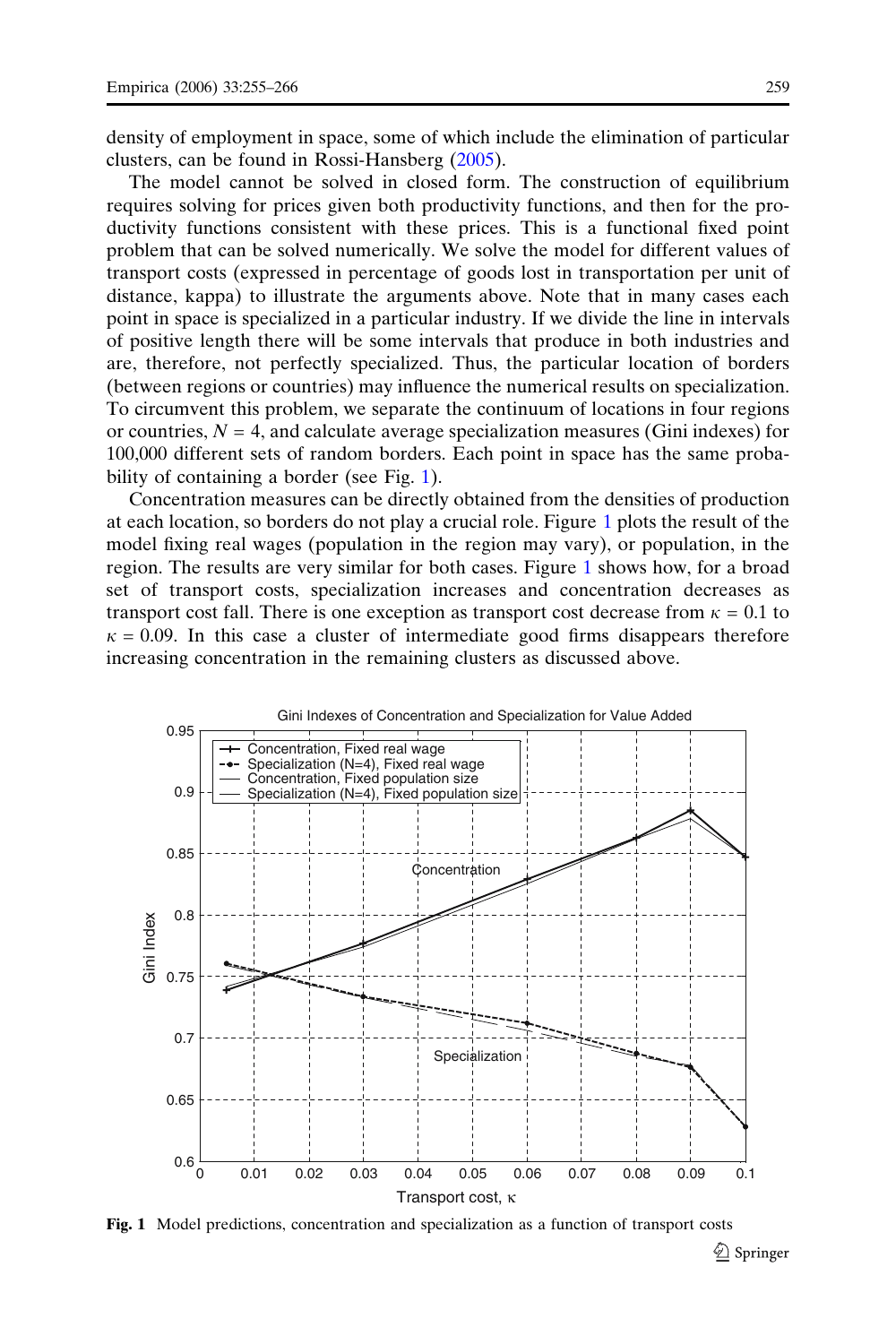density of employment in space, some of which include the elimination of particular clusters, can be found in Rossi-Hansberg [\(2005](#page-11-0)).

The model cannot be solved in closed form. The construction of equilibrium requires solving for prices given both productivity functions, and then for the productivity functions consistent with these prices. This is a functional fixed point problem that can be solved numerically. We solve the model for different values of transport costs (expressed in percentage of goods lost in transportation per unit of distance, kappa) to illustrate the arguments above. Note that in many cases each point in space is specialized in a particular industry. If we divide the line in intervals of positive length there will be some intervals that produce in both industries and are, therefore, not perfectly specialized. Thus, the particular location of borders (between regions or countries) may influence the numerical results on specialization. To circumvent this problem, we separate the continuum of locations in four regions or countries,  $N = 4$ , and calculate average specialization measures (Gini indexes) for 100,000 different sets of random borders. Each point in space has the same probability of containing a border (see Fig. 1).

Concentration measures can be directly obtained from the densities of production at each location, so borders do not play a crucial role. Figure 1 plots the result of the model fixing real wages (population in the region may vary), or population, in the region. The results are very similar for both cases. Figure 1 shows how, for a broad set of transport costs, specialization increases and concentration decreases as transport cost fall. There is one exception as transport cost decrease from  $\kappa = 0.1$  to  $\kappa = 0.09$ . In this case a cluster of intermediate good firms disappears therefore increasing concentration in the remaining clusters as discussed above.



Fig. 1 Model predictions, concentration and specialization as a function of transport costs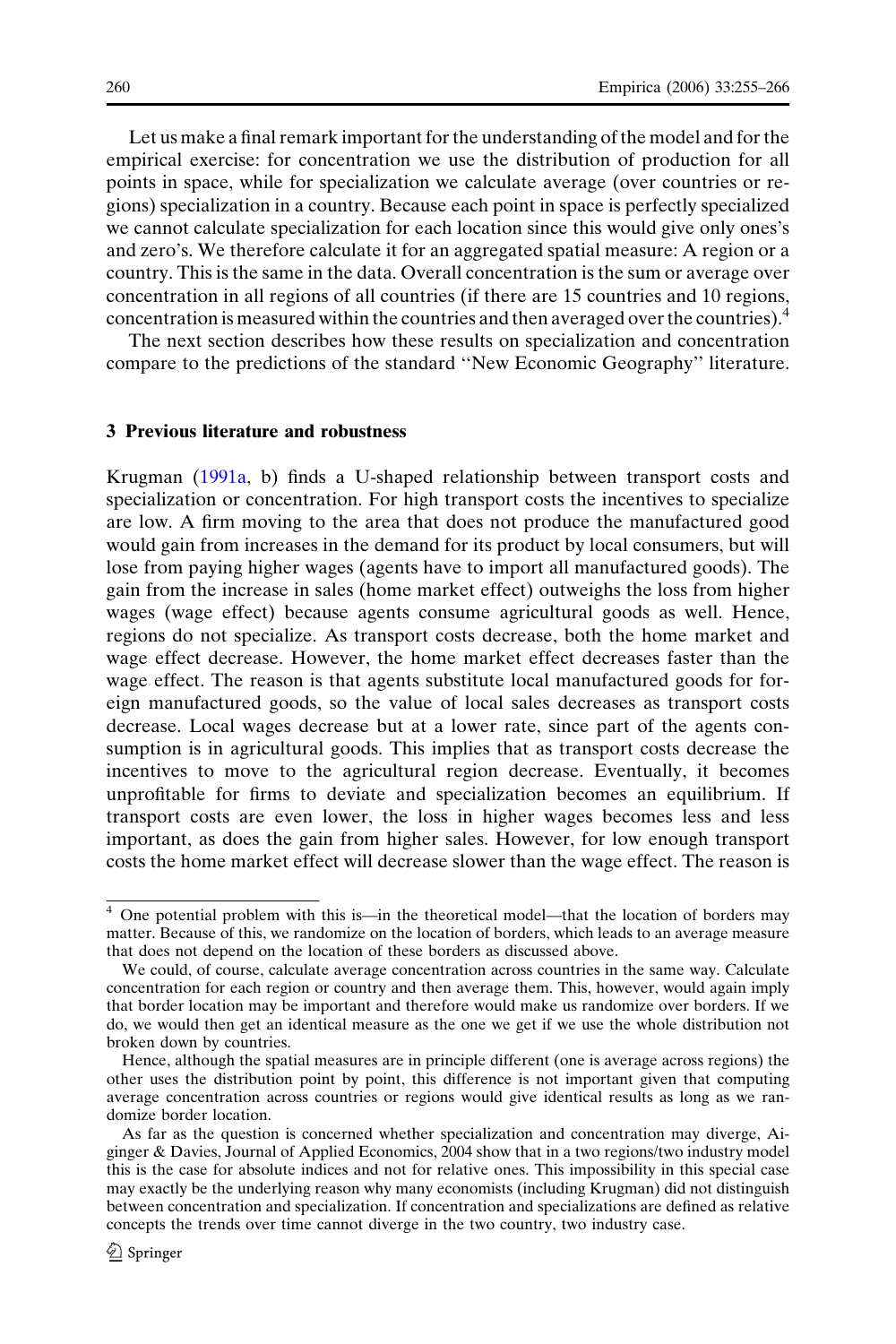Let us make a final remark important for the understanding of the model and for the empirical exercise: for concentration we use the distribution of production for all points in space, while for specialization we calculate average (over countries or regions) specialization in a country. Because each point in space is perfectly specialized we cannot calculate specialization for each location since this would give only ones's and zero's. We therefore calculate it for an aggregated spatial measure: A region or a country. This is the same in the data. Overall concentration is the sum or average over concentration in all regions of all countries (if there are 15 countries and 10 regions, concentration is measured within the countries and then averaged over the countries).4

The next section describes how these results on specialization and concentration compare to the predictions of the standard ''New Economic Geography'' literature.

#### 3 Previous literature and robustness

Krugman [\(1991a,](#page-11-0) b) finds a U-shaped relationship between transport costs and specialization or concentration. For high transport costs the incentives to specialize are low. A firm moving to the area that does not produce the manufactured good would gain from increases in the demand for its product by local consumers, but will lose from paying higher wages (agents have to import all manufactured goods). The gain from the increase in sales (home market effect) outweighs the loss from higher wages (wage effect) because agents consume agricultural goods as well. Hence, regions do not specialize. As transport costs decrease, both the home market and wage effect decrease. However, the home market effect decreases faster than the wage effect. The reason is that agents substitute local manufactured goods for foreign manufactured goods, so the value of local sales decreases as transport costs decrease. Local wages decrease but at a lower rate, since part of the agents consumption is in agricultural goods. This implies that as transport costs decrease the incentives to move to the agricultural region decrease. Eventually, it becomes unprofitable for firms to deviate and specialization becomes an equilibrium. If transport costs are even lower, the loss in higher wages becomes less and less important, as does the gain from higher sales. However, for low enough transport costs the home market effect will decrease slower than the wage effect. The reason is

<sup>4</sup> One potential problem with this is—in the theoretical model—that the location of borders may matter. Because of this, we randomize on the location of borders, which leads to an average measure that does not depend on the location of these borders as discussed above.

We could, of course, calculate average concentration across countries in the same way. Calculate concentration for each region or country and then average them. This, however, would again imply that border location may be important and therefore would make us randomize over borders. If we do, we would then get an identical measure as the one we get if we use the whole distribution not broken down by countries.

Hence, although the spatial measures are in principle different (one is average across regions) the other uses the distribution point by point, this difference is not important given that computing average concentration across countries or regions would give identical results as long as we randomize border location.

As far as the question is concerned whether specialization and concentration may diverge, Aiginger & Davies, Journal of Applied Economics, 2004 show that in a two regions/two industry model this is the case for absolute indices and not for relative ones. This impossibility in this special case may exactly be the underlying reason why many economists (including Krugman) did not distinguish between concentration and specialization. If concentration and specializations are defined as relative concepts the trends over time cannot diverge in the two country, two industry case.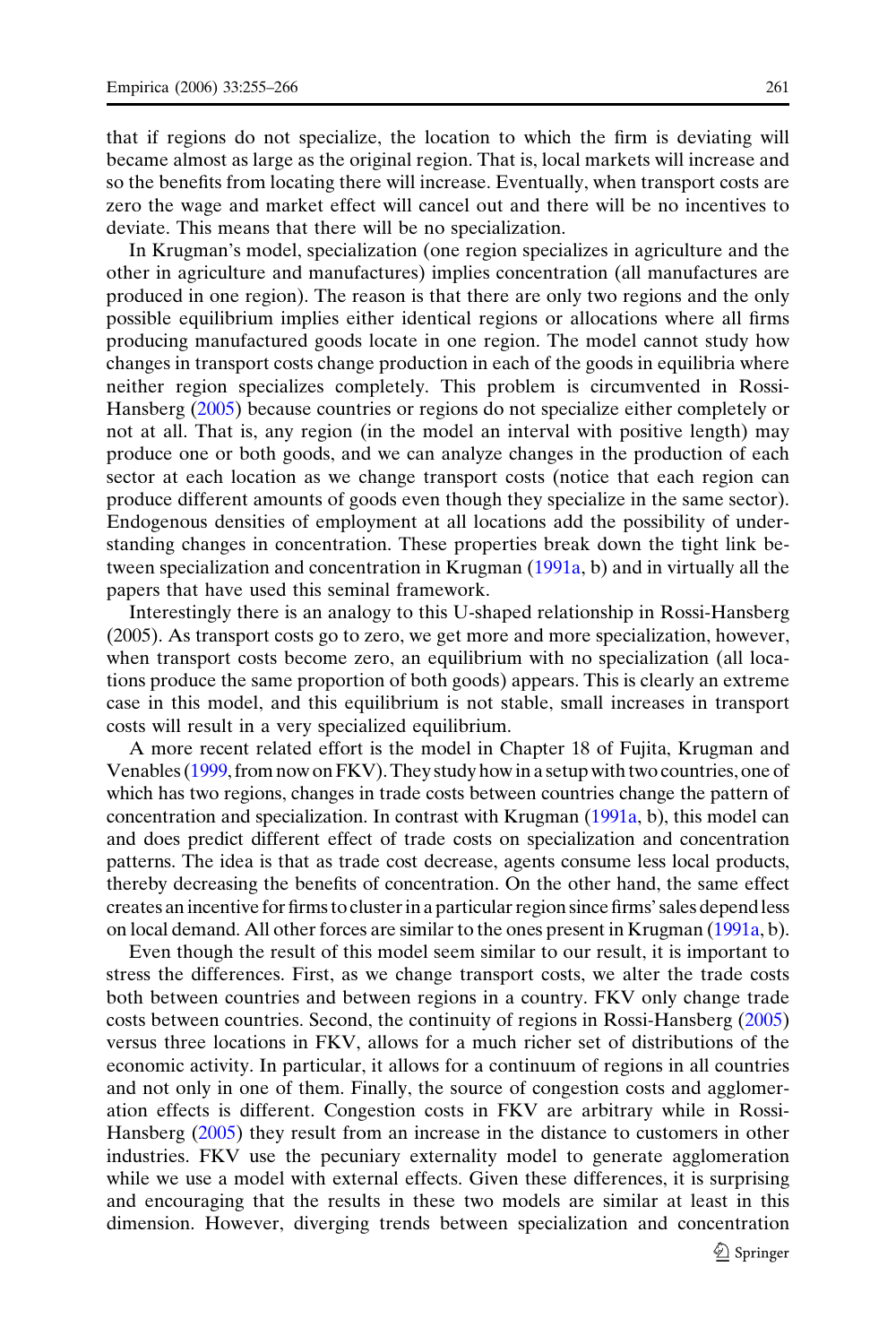that if regions do not specialize, the location to which the firm is deviating will became almost as large as the original region. That is, local markets will increase and so the benefits from locating there will increase. Eventually, when transport costs are zero the wage and market effect will cancel out and there will be no incentives to deviate. This means that there will be no specialization.

In Krugman's model, specialization (one region specializes in agriculture and the other in agriculture and manufactures) implies concentration (all manufactures are produced in one region). The reason is that there are only two regions and the only possible equilibrium implies either identical regions or allocations where all firms producing manufactured goods locate in one region. The model cannot study how changes in transport costs change production in each of the goods in equilibria where neither region specializes completely. This problem is circumvented in Rossi-Hansberg ([2005\)](#page-11-0) because countries or regions do not specialize either completely or not at all. That is, any region (in the model an interval with positive length) may produce one or both goods, and we can analyze changes in the production of each sector at each location as we change transport costs (notice that each region can produce different amounts of goods even though they specialize in the same sector). Endogenous densities of employment at all locations add the possibility of understanding changes in concentration. These properties break down the tight link between specialization and concentration in Krugman [\(1991a](#page-11-0), b) and in virtually all the papers that have used this seminal framework.

Interestingly there is an analogy to this U-shaped relationship in Rossi-Hansberg (2005). As transport costs go to zero, we get more and more specialization, however, when transport costs become zero, an equilibrium with no specialization (all locations produce the same proportion of both goods) appears. This is clearly an extreme case in this model, and this equilibrium is not stable, small increases in transport costs will result in a very specialized equilibrium.

A more recent related effort is the model in Chapter 18 of Fujita, Krugman and Venables [\(1999,](#page-11-0) from now on FKV). They study how in a setup with two countries, one of which has two regions, changes in trade costs between countries change the pattern of concentration and specialization. In contrast with Krugman [\(1991a](#page-11-0), b), this model can and does predict different effect of trade costs on specialization and concentration patterns. The idea is that as trade cost decrease, agents consume less local products, thereby decreasing the benefits of concentration. On the other hand, the same effect creates an incentive for firms to cluster in a particular region since firms' sales depend less on local demand. All other forces are similar to the ones present in Krugman [\(1991a](#page-11-0), b).

Even though the result of this model seem similar to our result, it is important to stress the differences. First, as we change transport costs, we alter the trade costs both between countries and between regions in a country. FKV only change trade costs between countries. Second, the continuity of regions in Rossi-Hansberg [\(2005](#page-11-0)) versus three locations in FKV, allows for a much richer set of distributions of the economic activity. In particular, it allows for a continuum of regions in all countries and not only in one of them. Finally, the source of congestion costs and agglomeration effects is different. Congestion costs in FKV are arbitrary while in Rossi-Hansberg [\(2005](#page-11-0)) they result from an increase in the distance to customers in other industries. FKV use the pecuniary externality model to generate agglomeration while we use a model with external effects. Given these differences, it is surprising and encouraging that the results in these two models are similar at least in this dimension. However, diverging trends between specialization and concentration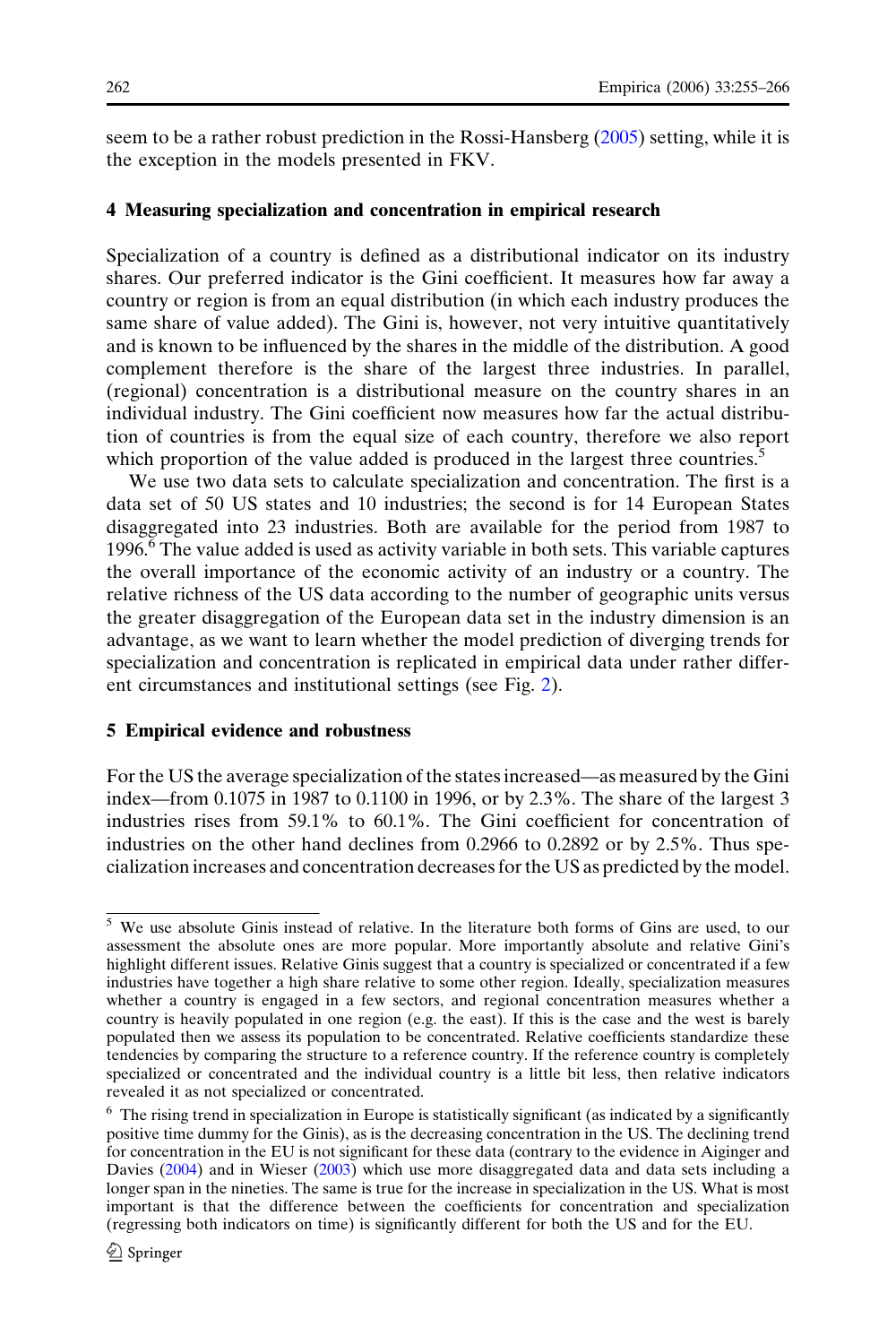seem to be a rather robust prediction in the Rossi-Hansberg [\(2005](#page-11-0)) setting, while it is the exception in the models presented in FKV.

#### 4 Measuring specialization and concentration in empirical research

Specialization of a country is defined as a distributional indicator on its industry shares. Our preferred indicator is the Gini coefficient. It measures how far away a country or region is from an equal distribution (in which each industry produces the same share of value added). The Gini is, however, not very intuitive quantitatively and is known to be influenced by the shares in the middle of the distribution. A good complement therefore is the share of the largest three industries. In parallel, (regional) concentration is a distributional measure on the country shares in an individual industry. The Gini coefficient now measures how far the actual distribution of countries is from the equal size of each country, therefore we also report which proportion of the value added is produced in the largest three countries.<sup>5</sup>

We use two data sets to calculate specialization and concentration. The first is a data set of 50 US states and 10 industries; the second is for 14 European States disaggregated into 23 industries. Both are available for the period from 1987 to 1996. $<sup>6</sup>$  The value added is used as activity variable in both sets. This variable captures</sup> the overall importance of the economic activity of an industry or a country. The relative richness of the US data according to the number of geographic units versus the greater disaggregation of the European data set in the industry dimension is an advantage, as we want to learn whether the model prediction of diverging trends for specialization and concentration is replicated in empirical data under rather different circumstances and institutional settings (see Fig. [2\)](#page-8-0).

### 5 Empirical evidence and robustness

For the US the average specialization of the states increased—as measured by the Gini index—from 0.1075 in 1987 to 0.1100 in 1996, or by 2.3%. The share of the largest 3 industries rises from 59.1% to 60.1%. The Gini coefficient for concentration of industries on the other hand declines from 0.2966 to 0.2892 or by 2.5%. Thus specialization increases and concentration decreases for the US as predicted by the model.

 $\textcircled{2}$  Springer

<sup>5</sup> We use absolute Ginis instead of relative. In the literature both forms of Gins are used, to our assessment the absolute ones are more popular. More importantly absolute and relative Gini's highlight different issues. Relative Ginis suggest that a country is specialized or concentrated if a few industries have together a high share relative to some other region. Ideally, specialization measures whether a country is engaged in a few sectors, and regional concentration measures whether a country is heavily populated in one region (e.g. the east). If this is the case and the west is barely populated then we assess its population to be concentrated. Relative coefficients standardize these tendencies by comparing the structure to a reference country. If the reference country is completely specialized or concentrated and the individual country is a little bit less, then relative indicators revealed it as not specialized or concentrated.

<sup>&</sup>lt;sup>6</sup> The rising trend in specialization in Europe is statistically significant (as indicated by a significantly positive time dummy for the Ginis), as is the decreasing concentration in the US. The declining trend for concentration in the EU is not significant for these data (contrary to the evidence in Aiginger and Davies ([2004\)](#page-10-0) and in Wieser ([2003\)](#page-11-0) which use more disaggregated data and data sets including a longer span in the nineties. The same is true for the increase in specialization in the US. What is most important is that the difference between the coefficients for concentration and specialization (regressing both indicators on time) is significantly different for both the US and for the EU.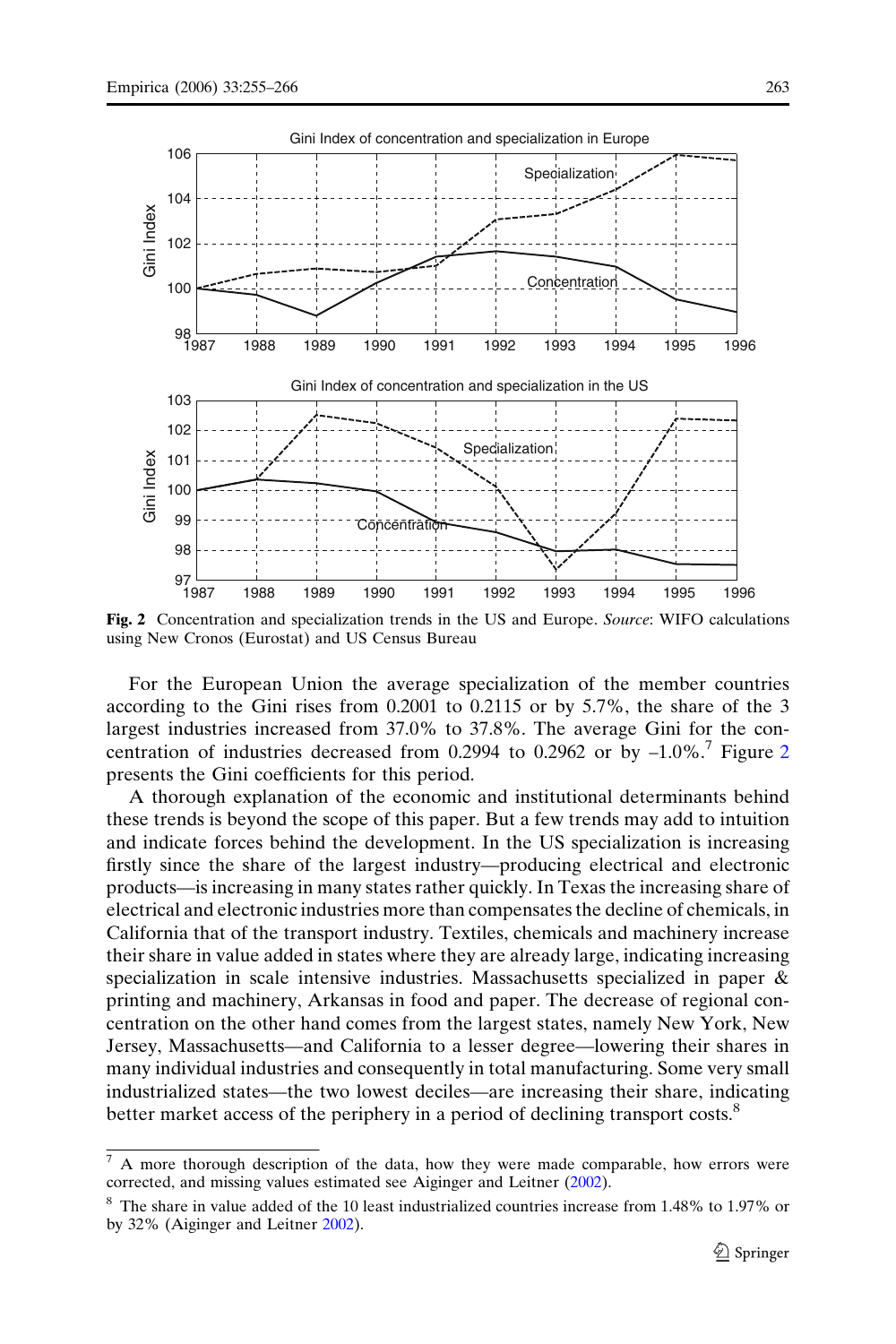<span id="page-8-0"></span>

Fig. 2 Concentration and specialization trends in the US and Europe. Source: WIFO calculations using New Cronos (Eurostat) and US Census Bureau

For the European Union the average specialization of the member countries according to the Gini rises from 0.2001 to 0.2115 or by 5.7%, the share of the 3 largest industries increased from 37.0% to 37.8%. The average Gini for the concentration of industries decreased from 0.2994 to 0.2962 or by  $-1.0\%$ .<sup>7</sup> Figure 2 presents the Gini coefficients for this period.

A thorough explanation of the economic and institutional determinants behind these trends is beyond the scope of this paper. But a few trends may add to intuition and indicate forces behind the development. In the US specialization is increasing firstly since the share of the largest industry—producing electrical and electronic products—is increasing in many states rather quickly. In Texas the increasing share of electrical and electronic industries more than compensates the decline of chemicals, in California that of the transport industry. Textiles, chemicals and machinery increase their share in value added in states where they are already large, indicating increasing specialization in scale intensive industries. Massachusetts specialized in paper & printing and machinery, Arkansas in food and paper. The decrease of regional concentration on the other hand comes from the largest states, namely New York, New Jersey, Massachusetts—and California to a lesser degree—lowering their shares in many individual industries and consequently in total manufacturing. Some very small industrialized states—the two lowest deciles—are increasing their share, indicating better market access of the periphery in a period of declining transport costs.<sup>8</sup>

<sup>7</sup> A more thorough description of the data, how they were made comparable, how errors were corrected, and missing values estimated see Aiginger and Leitner ([2002\)](#page-10-0).

<sup>&</sup>lt;sup>8</sup> The share in value added of the 10 least industrialized countries increase from 1.48% to 1.97% or by 32% (Aiginger and Leitner [2002](#page-10-0)).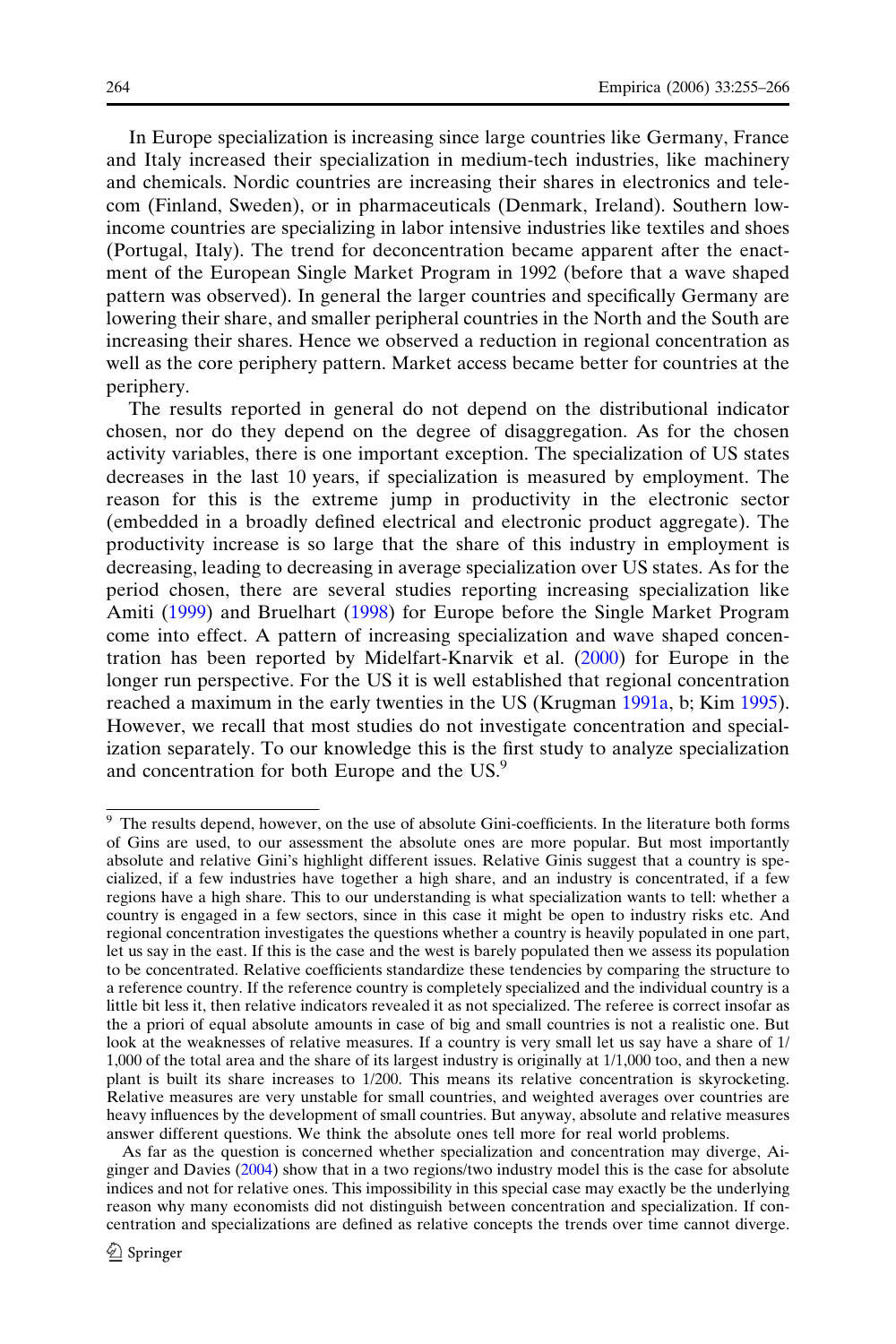In Europe specialization is increasing since large countries like Germany, France and Italy increased their specialization in medium-tech industries, like machinery and chemicals. Nordic countries are increasing their shares in electronics and telecom (Finland, Sweden), or in pharmaceuticals (Denmark, Ireland). Southern lowincome countries are specializing in labor intensive industries like textiles and shoes (Portugal, Italy). The trend for deconcentration became apparent after the enactment of the European Single Market Program in 1992 (before that a wave shaped pattern was observed). In general the larger countries and specifically Germany are lowering their share, and smaller peripheral countries in the North and the South are increasing their shares. Hence we observed a reduction in regional concentration as well as the core periphery pattern. Market access became better for countries at the periphery.

The results reported in general do not depend on the distributional indicator chosen, nor do they depend on the degree of disaggregation. As for the chosen activity variables, there is one important exception. The specialization of US states decreases in the last 10 years, if specialization is measured by employment. The reason for this is the extreme jump in productivity in the electronic sector (embedded in a broadly defined electrical and electronic product aggregate). The productivity increase is so large that the share of this industry in employment is decreasing, leading to decreasing in average specialization over US states. As for the period chosen, there are several studies reporting increasing specialization like Amiti [\(1999](#page-10-0)) and Bruelhart (1998) for Europe before the Single Market Program come into effect. A pattern of increasing specialization and wave shaped concentration has been reported by Midelfart-Knarvik et al. [\(2000](#page-11-0)) for Europe in the longer run perspective. For the US it is well established that regional concentration reached a maximum in the early twenties in the US (Krugman [1991a,](#page-11-0) b; Kim [1995\)](#page-11-0). However, we recall that most studies do not investigate concentration and specialization separately. To our knowledge this is the first study to analyze specialization and concentration for both Europe and the US.<sup>9</sup>

<sup>&</sup>lt;sup>9</sup> The results depend, however, on the use of absolute Gini-coefficients. In the literature both forms of Gins are used, to our assessment the absolute ones are more popular. But most importantly absolute and relative Gini's highlight different issues. Relative Ginis suggest that a country is specialized, if a few industries have together a high share, and an industry is concentrated, if a few regions have a high share. This to our understanding is what specialization wants to tell: whether a country is engaged in a few sectors, since in this case it might be open to industry risks etc. And regional concentration investigates the questions whether a country is heavily populated in one part, let us say in the east. If this is the case and the west is barely populated then we assess its population to be concentrated. Relative coefficients standardize these tendencies by comparing the structure to a reference country. If the reference country is completely specialized and the individual country is a little bit less it, then relative indicators revealed it as not specialized. The referee is correct insofar as the a priori of equal absolute amounts in case of big and small countries is not a realistic one. But look at the weaknesses of relative measures. If a country is very small let us say have a share of 1/ 1,000 of the total area and the share of its largest industry is originally at 1/1,000 too, and then a new plant is built its share increases to 1/200. This means its relative concentration is skyrocketing. Relative measures are very unstable for small countries, and weighted averages over countries are heavy influences by the development of small countries. But anyway, absolute and relative measures answer different questions. We think the absolute ones tell more for real world problems.

As far as the question is concerned whether specialization and concentration may diverge, Aiginger and Davies [\(2004\)](#page-10-0) show that in a two regions/two industry model this is the case for absolute indices and not for relative ones. This impossibility in this special case may exactly be the underlying reason why many economists did not distinguish between concentration and specialization. If concentration and specializations are defined as relative concepts the trends over time cannot diverge.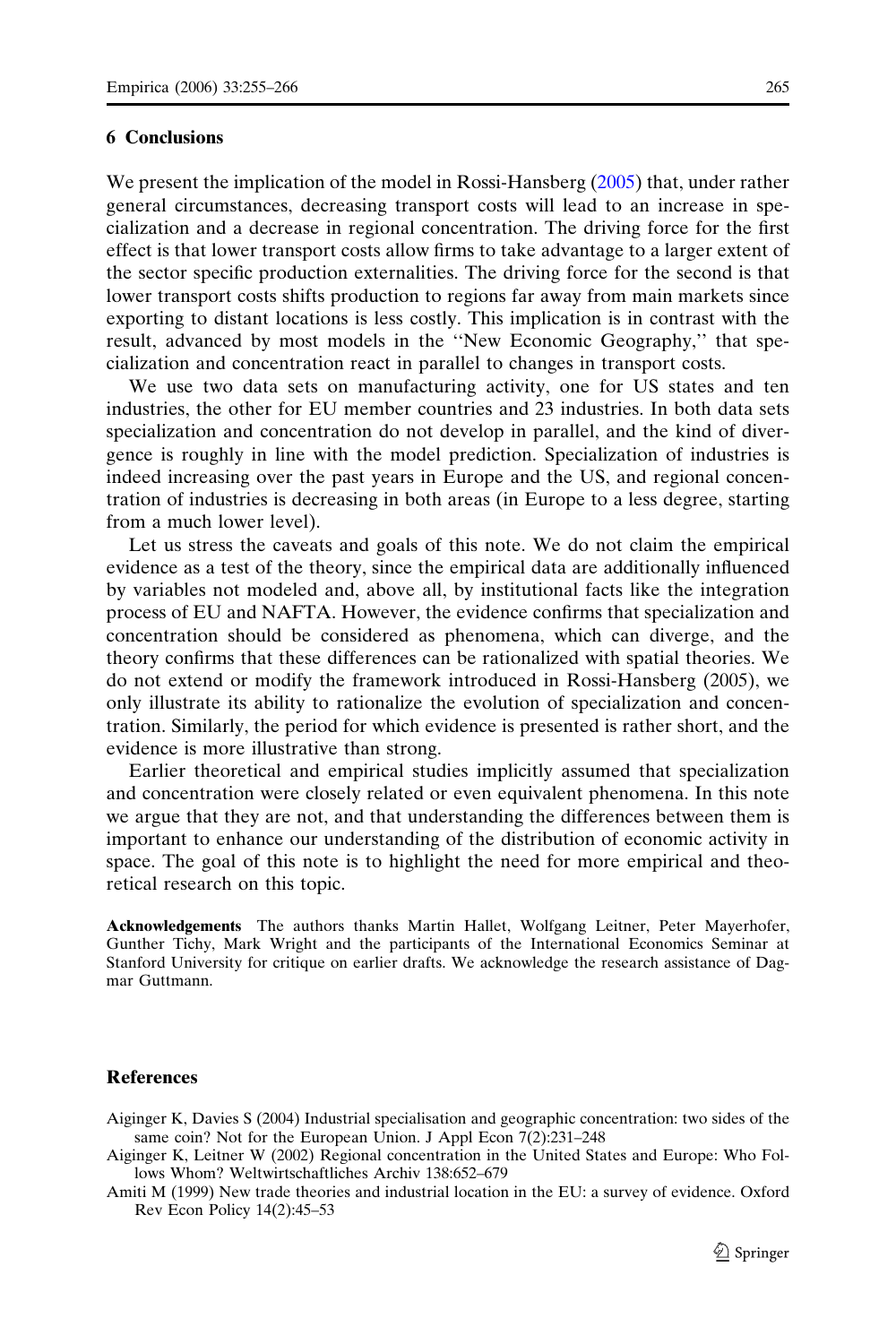#### <span id="page-10-0"></span>6 Conclusions

We present the implication of the model in Rossi-Hansberg ([2005](#page-11-0)) that, under rather general circumstances, decreasing transport costs will lead to an increase in specialization and a decrease in regional concentration. The driving force for the first effect is that lower transport costs allow firms to take advantage to a larger extent of the sector specific production externalities. The driving force for the second is that lower transport costs shifts production to regions far away from main markets since exporting to distant locations is less costly. This implication is in contrast with the result, advanced by most models in the ''New Economic Geography,'' that specialization and concentration react in parallel to changes in transport costs.

We use two data sets on manufacturing activity, one for US states and ten industries, the other for EU member countries and 23 industries. In both data sets specialization and concentration do not develop in parallel, and the kind of divergence is roughly in line with the model prediction. Specialization of industries is indeed increasing over the past years in Europe and the US, and regional concentration of industries is decreasing in both areas (in Europe to a less degree, starting from a much lower level).

Let us stress the caveats and goals of this note. We do not claim the empirical evidence as a test of the theory, since the empirical data are additionally influenced by variables not modeled and, above all, by institutional facts like the integration process of EU and NAFTA. However, the evidence confirms that specialization and concentration should be considered as phenomena, which can diverge, and the theory confirms that these differences can be rationalized with spatial theories. We do not extend or modify the framework introduced in Rossi-Hansberg (2005), we only illustrate its ability to rationalize the evolution of specialization and concentration. Similarly, the period for which evidence is presented is rather short, and the evidence is more illustrative than strong.

Earlier theoretical and empirical studies implicitly assumed that specialization and concentration were closely related or even equivalent phenomena. In this note we argue that they are not, and that understanding the differences between them is important to enhance our understanding of the distribution of economic activity in space. The goal of this note is to highlight the need for more empirical and theoretical research on this topic.

Acknowledgements The authors thanks Martin Hallet, Wolfgang Leitner, Peter Mayerhofer, Gunther Tichy, Mark Wright and the participants of the International Economics Seminar at Stanford University for critique on earlier drafts. We acknowledge the research assistance of Dagmar Guttmann.

## **References**

- Aiginger K, Davies S (2004) Industrial specialisation and geographic concentration: two sides of the same coin? Not for the European Union. J Appl Econ 7(2):231–248
- Aiginger K, Leitner W (2002) Regional concentration in the United States and Europe: Who Follows Whom? Weltwirtschaftliches Archiv 138:652–679

Amiti M (1999) New trade theories and industrial location in the EU: a survey of evidence. Oxford Rev Econ Policy 14(2):45–53